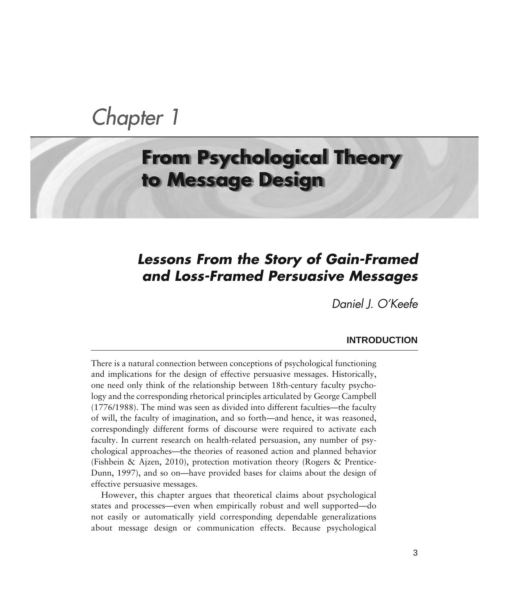*Chapter 1*

# **From Psychological Theory to Message Design**

# *Lessons From the Story of Gain-Framed and Loss-Framed Persuasive Messages*

*Daniel J. O'Keefe*

#### **INTRODUCTION**

There is a natural connection between conceptions of psychological functioning and implications for the design of effective persuasive messages. Historically, one need only think of the relationship between 18th-century faculty psychology and the corresponding rhetorical principles articulated by George Campbell (1776/1988). The mind was seen as divided into different faculties—the faculty of will, the faculty of imagination, and so forth—and hence, it was reasoned, correspondingly different forms of discourse were required to activate each faculty. In current research on health-related persuasion, any number of psychological approaches—the theories of reasoned action and planned behavior (Fishbein & Ajzen, 2010), protection motivation theory (Rogers & Prentice-Dunn, 1997), and so on—have provided bases for claims about the design of effective persuasive messages.

However, this chapter argues that theoretical claims about psychological states and processes—even when empirically robust and well supported—do not easily or automatically yield corresponding dependable generalizations about message design or communication effects. Because psychological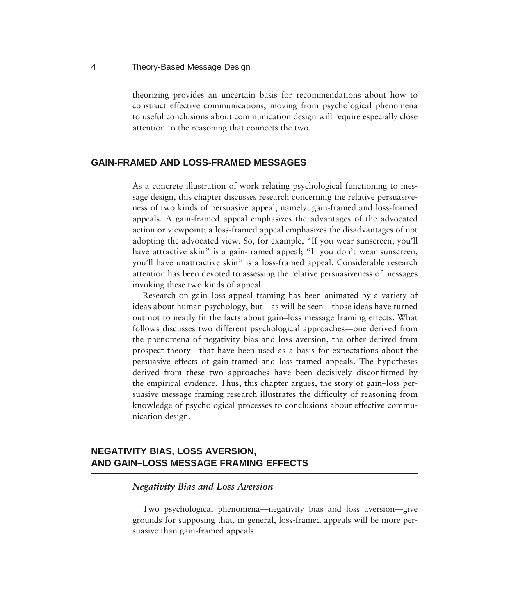theorizing provides an uncertain basis for recommendations about how to construct effective communications, moving from psychological phenomena to useful conclusions about communication design will require especially close attention to the reasoning that connects the two.

#### **GAIN-FRAMED AND LOSS-FRAMED MESSAGES**

As a concrete illustration of work relating psychological functioning to message design, this chapter discusses research concerning the relative persuasiveness of two kinds of persuasive appeal, namely, gain-framed and loss-framed appeals. A gain-framed appeal emphasizes the advantages of the advocated action or viewpoint; a loss-framed appeal emphasizes the disadvantages of not adopting the advocated view. So, for example, "If you wear sunscreen, you'll have attractive skin" is a gain-framed appeal; "If you don't wear sunscreen, you'll have unattractive skin" is a loss-framed appeal. Considerable research attention has been devoted to assessing the relative persuasiveness of messages invoking these two kinds of appeal.

Research on gain–loss appeal framing has been animated by a variety of ideas about human psychology, but—as will be seen—those ideas have turned out not to neatly fit the facts about gain–loss message framing effects. What follows discusses two different psychological approaches—one derived from the phenomena of negativity bias and loss aversion, the other derived from prospect theory—that have been used as a basis for expectations about the persuasive effects of gain-framed and loss-framed appeals. The hypotheses derived from these two approaches have been decisively disconfirmed by the empirical evidence. Thus, this chapter argues, the story of gain–loss persuasive message framing research illustrates the difficulty of reasoning from knowledge of psychological processes to conclusions about effective communication design.

# **NEGATIVITY BIAS, LOSS AVERSION, AND GAIN–LOSS MESSAGE FRAMING EFFECTS**

#### *Negativity Bias and Loss Aversion*

Two psychological phenomena—negativity bias and loss aversion—give grounds for supposing that, in general, loss-framed appeals will be more persuasive than gain-framed appeals.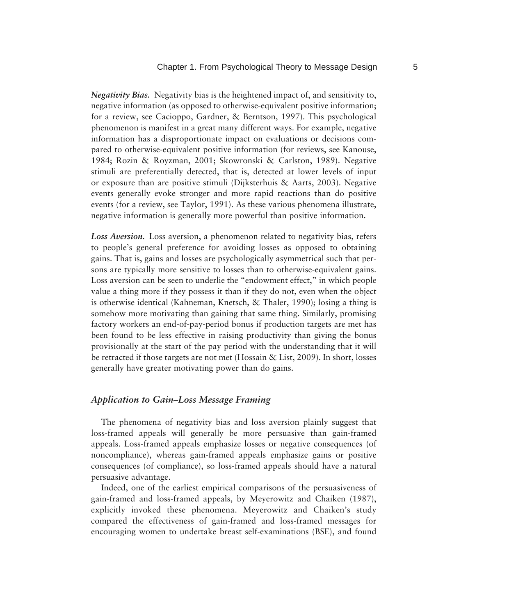*Negativity Bias.* Negativity bias is the heightened impact of, and sensitivity to, negative information (as opposed to otherwise-equivalent positive information; for a review, see Cacioppo, Gardner, & Berntson, 1997). This psychological phenomenon is manifest in a great many different ways. For example, negative information has a disproportionate impact on evaluations or decisions compared to otherwise-equivalent positive information (for reviews, see Kanouse, 1984; Rozin & Royzman, 2001; Skowronski & Carlston, 1989). Negative stimuli are preferentially detected, that is, detected at lower levels of input or exposure than are positive stimuli (Dijksterhuis & Aarts, 2003). Negative events generally evoke stronger and more rapid reactions than do positive events (for a review, see Taylor, 1991). As these various phenomena illustrate, negative information is generally more powerful than positive information.

*Loss Aversion.* Loss aversion, a phenomenon related to negativity bias, refers to people's general preference for avoiding losses as opposed to obtaining gains. That is, gains and losses are psychologically asymmetrical such that persons are typically more sensitive to losses than to otherwise-equivalent gains. Loss aversion can be seen to underlie the "endowment effect," in which people value a thing more if they possess it than if they do not, even when the object is otherwise identical (Kahneman, Knetsch, & Thaler, 1990); losing a thing is somehow more motivating than gaining that same thing. Similarly, promising factory workers an end-of-pay-period bonus if production targets are met has been found to be less effective in raising productivity than giving the bonus provisionally at the start of the pay period with the understanding that it will be retracted if those targets are not met (Hossain & List, 2009). In short, losses generally have greater motivating power than do gains.

#### *Application to Gain–Loss Message Framing*

The phenomena of negativity bias and loss aversion plainly suggest that loss-framed appeals will generally be more persuasive than gain-framed appeals. Loss-framed appeals emphasize losses or negative consequences (of noncompliance), whereas gain-framed appeals emphasize gains or positive consequences (of compliance), so loss-framed appeals should have a natural persuasive advantage.

Indeed, one of the earliest empirical comparisons of the persuasiveness of gain-framed and loss-framed appeals, by Meyerowitz and Chaiken (1987), explicitly invoked these phenomena. Meyerowitz and Chaiken's study compared the effectiveness of gain-framed and loss-framed messages for encouraging women to undertake breast self-examinations (BSE), and found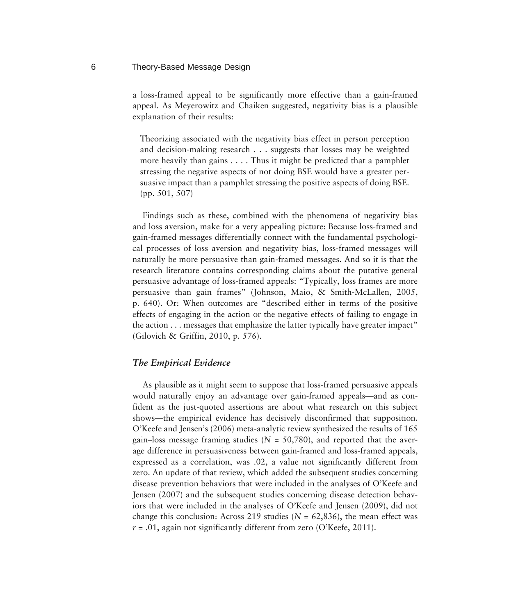a loss-framed appeal to be significantly more effective than a gain-framed appeal. As Meyerowitz and Chaiken suggested, negativity bias is a plausible explanation of their results:

Theorizing associated with the negativity bias effect in person perception and decision-making research . . . suggests that losses may be weighted more heavily than gains . . . . Thus it might be predicted that a pamphlet stressing the negative aspects of not doing BSE would have a greater persuasive impact than a pamphlet stressing the positive aspects of doing BSE. (pp. 501, 507)

Findings such as these, combined with the phenomena of negativity bias and loss aversion, make for a very appealing picture: Because loss-framed and gain-framed messages differentially connect with the fundamental psychological processes of loss aversion and negativity bias, loss-framed messages will naturally be more persuasive than gain-framed messages. And so it is that the research literature contains corresponding claims about the putative general persuasive advantage of loss-framed appeals: "Typically, loss frames are more persuasive than gain frames" (Johnson, Maio, & Smith-McLallen, 2005, p. 640). Or: When outcomes are "described either in terms of the positive effects of engaging in the action or the negative effects of failing to engage in the action . . . messages that emphasize the latter typically have greater impact" (Gilovich & Griffin, 2010, p. 576).

#### *The Empirical Evidence*

As plausible as it might seem to suppose that loss-framed persuasive appeals would naturally enjoy an advantage over gain-framed appeals—and as confident as the just-quoted assertions are about what research on this subject shows—the empirical evidence has decisively disconfirmed that supposition. O'Keefe and Jensen's (2006) meta-analytic review synthesized the results of 165 gain–loss message framing studies ( $N = 50,780$ ), and reported that the average difference in persuasiveness between gain-framed and loss-framed appeals, expressed as a correlation, was .02, a value not significantly different from zero. An update of that review, which added the subsequent studies concerning disease prevention behaviors that were included in the analyses of O'Keefe and Jensen (2007) and the subsequent studies concerning disease detection behaviors that were included in the analyses of O'Keefe and Jensen (2009), did not change this conclusion: Across 219 studies  $(N = 62,836)$ , the mean effect was  $r = .01$ , again not significantly different from zero (O'Keefe, 2011).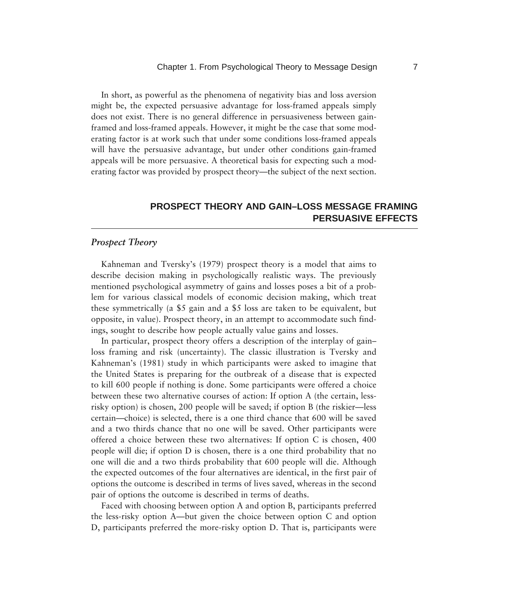In short, as powerful as the phenomena of negativity bias and loss aversion might be, the expected persuasive advantage for loss-framed appeals simply does not exist. There is no general difference in persuasiveness between gainframed and loss-framed appeals. However, it might be the case that some moderating factor is at work such that under some conditions loss-framed appeals will have the persuasive advantage, but under other conditions gain-framed appeals will be more persuasive. A theoretical basis for expecting such a moderating factor was provided by prospect theory—the subject of the next section.

## **PROSPECT THEORY AND GAIN–LOSS MESSAGE FRAMING PERSUASIVE EFFECTS**

#### *Prospect Theory*

Kahneman and Tversky's (1979) prospect theory is a model that aims to describe decision making in psychologically realistic ways. The previously mentioned psychological asymmetry of gains and losses poses a bit of a problem for various classical models of economic decision making, which treat these symmetrically (a \$5 gain and a \$5 loss are taken to be equivalent, but opposite, in value). Prospect theory, in an attempt to accommodate such findings, sought to describe how people actually value gains and losses.

In particular, prospect theory offers a description of the interplay of gain– loss framing and risk (uncertainty). The classic illustration is Tversky and Kahneman's (1981) study in which participants were asked to imagine that the United States is preparing for the outbreak of a disease that is expected to kill 600 people if nothing is done. Some participants were offered a choice between these two alternative courses of action: If option A (the certain, lessrisky option) is chosen, 200 people will be saved; if option B (the riskier—less certain—choice) is selected, there is a one third chance that 600 will be saved and a two thirds chance that no one will be saved. Other participants were offered a choice between these two alternatives: If option C is chosen, 400 people will die; if option D is chosen, there is a one third probability that no one will die and a two thirds probability that 600 people will die. Although the expected outcomes of the four alternatives are identical, in the first pair of options the outcome is described in terms of lives saved, whereas in the second pair of options the outcome is described in terms of deaths.

Faced with choosing between option A and option B, participants preferred the less-risky option A—but given the choice between option C and option D, participants preferred the more-risky option D. That is, participants were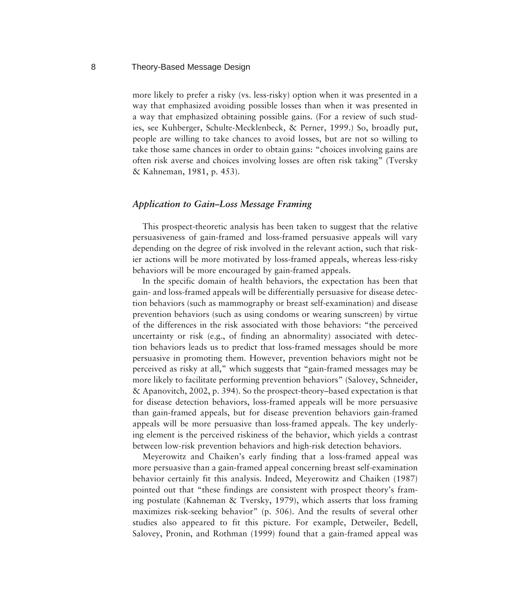more likely to prefer a risky (vs. less-risky) option when it was presented in a way that emphasized avoiding possible losses than when it was presented in a way that emphasized obtaining possible gains. (For a review of such studies, see Kuhberger, Schulte-Mecklenbeck, & Perner, 1999.) So, broadly put, people are willing to take chances to avoid losses, but are not so willing to take those same chances in order to obtain gains: "choices involving gains are often risk averse and choices involving losses are often risk taking" (Tversky & Kahneman, 1981, p. 453).

#### *Application to Gain–Loss Message Framing*

This prospect-theoretic analysis has been taken to suggest that the relative persuasiveness of gain-framed and loss-framed persuasive appeals will vary depending on the degree of risk involved in the relevant action, such that riskier actions will be more motivated by loss-framed appeals, whereas less-risky behaviors will be more encouraged by gain-framed appeals.

In the specific domain of health behaviors, the expectation has been that gain- and loss-framed appeals will be differentially persuasive for disease detection behaviors (such as mammography or breast self-examination) and disease prevention behaviors (such as using condoms or wearing sunscreen) by virtue of the differences in the risk associated with those behaviors: "the perceived uncertainty or risk (e.g., of finding an abnormality) associated with detection behaviors leads us to predict that loss-framed messages should be more persuasive in promoting them. However, prevention behaviors might not be perceived as risky at all," which suggests that "gain-framed messages may be more likely to facilitate performing prevention behaviors" (Salovey, Schneider, & Apanovitch, 2002, p. 394). So the prospect-theory–based expectation is that for disease detection behaviors, loss-framed appeals will be more persuasive than gain-framed appeals, but for disease prevention behaviors gain-framed appeals will be more persuasive than loss-framed appeals. The key underlying element is the perceived riskiness of the behavior, which yields a contrast between low-risk prevention behaviors and high-risk detection behaviors.

Meyerowitz and Chaiken's early finding that a loss-framed appeal was more persuasive than a gain-framed appeal concerning breast self-examination behavior certainly fit this analysis. Indeed, Meyerowitz and Chaiken (1987) pointed out that "these findings are consistent with prospect theory's framing postulate (Kahneman & Tversky, 1979), which asserts that loss framing maximizes risk-seeking behavior" (p. 506). And the results of several other studies also appeared to fit this picture. For example, Detweiler, Bedell, Salovey, Pronin, and Rothman (1999) found that a gain-framed appeal was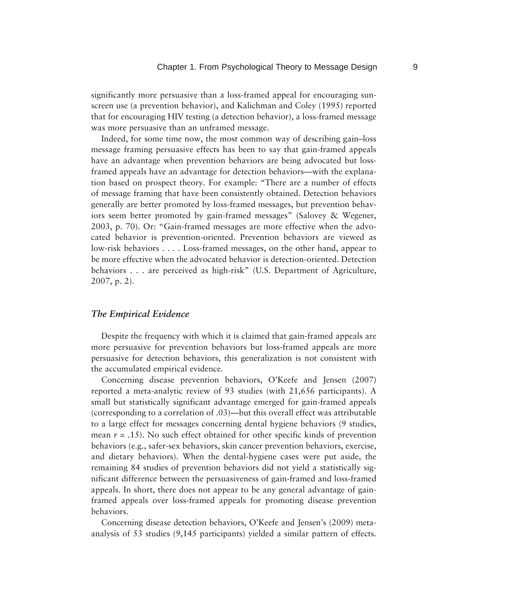significantly more persuasive than a loss-framed appeal for encouraging sunscreen use (a prevention behavior), and Kalichman and Coley (1995) reported that for encouraging HIV testing (a detection behavior), a loss-framed message was more persuasive than an unframed message.

Indeed, for some time now, the most common way of describing gain–loss message framing persuasive effects has been to say that gain-framed appeals have an advantage when prevention behaviors are being advocated but lossframed appeals have an advantage for detection behaviors—with the explanation based on prospect theory. For example: "There are a number of effects of message framing that have been consistently obtained. Detection behaviors generally are better promoted by loss-framed messages, but prevention behaviors seem better promoted by gain-framed messages" (Salovey & Wegener, 2003, p. 70). Or: "Gain-framed messages are more effective when the advocated behavior is prevention-oriented. Prevention behaviors are viewed as low-risk behaviors . . . . Loss-framed messages, on the other hand, appear to be more effective when the advocated behavior is detection-oriented. Detection behaviors . . . are perceived as high-risk" (U.S. Department of Agriculture, 2007, p. 2).

#### *The Empirical Evidence*

Despite the frequency with which it is claimed that gain-framed appeals are more persuasive for prevention behaviors but loss-framed appeals are more persuasive for detection behaviors, this generalization is not consistent with the accumulated empirical evidence.

Concerning disease prevention behaviors, O'Keefe and Jensen (2007) reported a meta-analytic review of 93 studies (with 21,656 participants). A small but statistically significant advantage emerged for gain-framed appeals (corresponding to a correlation of .03)—but this overall effect was attributable to a large effect for messages concerning dental hygiene behaviors (9 studies, mean  $r = .15$ ). No such effect obtained for other specific kinds of prevention behaviors (e.g., safer-sex behaviors, skin cancer prevention behaviors, exercise, and dietary behaviors). When the dental-hygiene cases were put aside, the remaining 84 studies of prevention behaviors did not yield a statistically significant difference between the persuasiveness of gain-framed and loss-framed appeals. In short, there does not appear to be any general advantage of gainframed appeals over loss-framed appeals for promoting disease prevention behaviors.

Concerning disease detection behaviors, O'Keefe and Jensen's (2009) metaanalysis of 53 studies (9,145 participants) yielded a similar pattern of effects.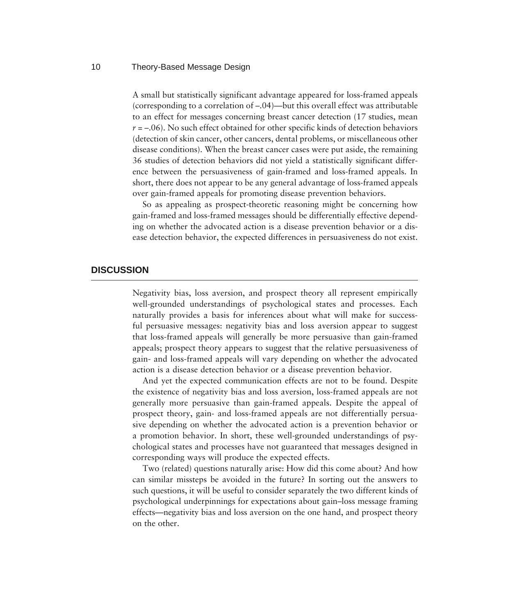A small but statistically significant advantage appeared for loss-framed appeals (corresponding to a correlation of –.04)—but this overall effect was attributable to an effect for messages concerning breast cancer detection (17 studies, mean  $r = -06$ ). No such effect obtained for other specific kinds of detection behaviors (detection of skin cancer, other cancers, dental problems, or miscellaneous other disease conditions). When the breast cancer cases were put aside, the remaining 36 studies of detection behaviors did not yield a statistically significant difference between the persuasiveness of gain-framed and loss-framed appeals. In short, there does not appear to be any general advantage of loss-framed appeals over gain-framed appeals for promoting disease prevention behaviors.

So as appealing as prospect-theoretic reasoning might be concerning how gain-framed and loss-framed messages should be differentially effective depending on whether the advocated action is a disease prevention behavior or a disease detection behavior, the expected differences in persuasiveness do not exist.

#### **DISCUSSION**

Negativity bias, loss aversion, and prospect theory all represent empirically well-grounded understandings of psychological states and processes. Each naturally provides a basis for inferences about what will make for successful persuasive messages: negativity bias and loss aversion appear to suggest that loss-framed appeals will generally be more persuasive than gain-framed appeals; prospect theory appears to suggest that the relative persuasiveness of gain- and loss-framed appeals will vary depending on whether the advocated action is a disease detection behavior or a disease prevention behavior.

And yet the expected communication effects are not to be found. Despite the existence of negativity bias and loss aversion, loss-framed appeals are not generally more persuasive than gain-framed appeals. Despite the appeal of prospect theory, gain- and loss-framed appeals are not differentially persuasive depending on whether the advocated action is a prevention behavior or a promotion behavior. In short, these well-grounded understandings of psychological states and processes have not guaranteed that messages designed in corresponding ways will produce the expected effects.

Two (related) questions naturally arise: How did this come about? And how can similar missteps be avoided in the future? In sorting out the answers to such questions, it will be useful to consider separately the two different kinds of psychological underpinnings for expectations about gain–loss message framing effects—negativity bias and loss aversion on the one hand, and prospect theory on the other.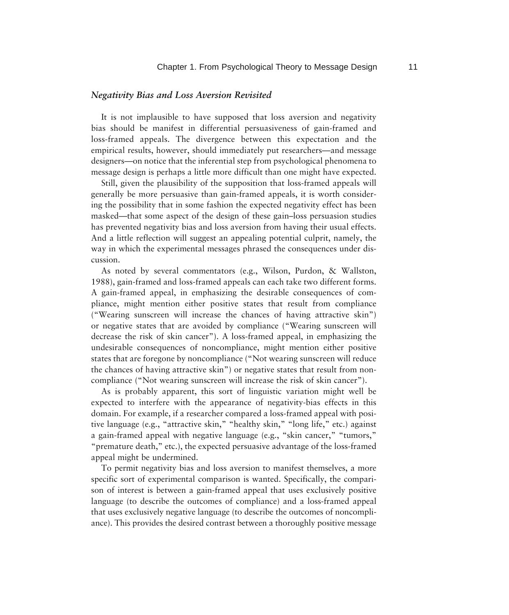#### *Negativity Bias and Loss Aversion Revisited*

It is not implausible to have supposed that loss aversion and negativity bias should be manifest in differential persuasiveness of gain-framed and loss-framed appeals. The divergence between this expectation and the empirical results, however, should immediately put researchers—and message designers —on notice that the inferential step from psychological phenomena to message design is perhaps a little more difficult than one might have expected.

Still, given the plausibility of the supposition that loss-framed appeals will generally be more persuasive than gain-framed appeals, it is worth considering the possibility that in some fashion the expected negativity effect has been masked—that some aspect of the design of these gain–loss persuasion studies has prevented negativity bias and loss aversion from having their usual effects. And a little reflection will suggest an appealing potential culprit, namely, the way in which the experimental messages phrased the consequences under discussion.

As noted by several commentators (e.g., Wilson, Purdon, & Wallston, 1988), gain-framed and loss-framed appeals can each take two different forms. A gain-framed appeal, in emphasizing the desirable consequences of compliance, might mention either positive states that result from compliance ("Wearing sunscreen will increase the chances of having attractive skin") or negative states that are avoided by compliance ("Wearing sunscreen will decrease the risk of skin cancer"). A loss-framed appeal, in emphasizing the undesirable consequences of noncompliance, might mention either positive states that are foregone by noncompliance ("Not wearing sunscreen will reduce the chances of having attractive skin") or negative states that result from noncompliance ("Not wearing sunscreen will increase the risk of skin cancer").

As is probably apparent, this sort of linguistic variation might well be expected to interfere with the appearance of negativity-bias effects in this domain. For example, if a researcher compared a loss-framed appeal with positive language (e.g., "attractive skin," "healthy skin," "long life," etc.) against a gain-framed appeal with negative language (e.g., "skin cancer," "tumors," "premature death," etc.), the expected persuasive advantage of the loss-framed appeal might be undermined.

To permit negativity bias and loss aversion to manifest themselves, a more specific sort of experimental comparison is wanted. Specifically, the comparison of interest is between a gain-framed appeal that uses exclusively positive language (to describe the outcomes of compliance) and a loss-framed appeal that uses exclusively negative language (to describe the outcomes of noncompliance). This provides the desired contrast between a thoroughly positive message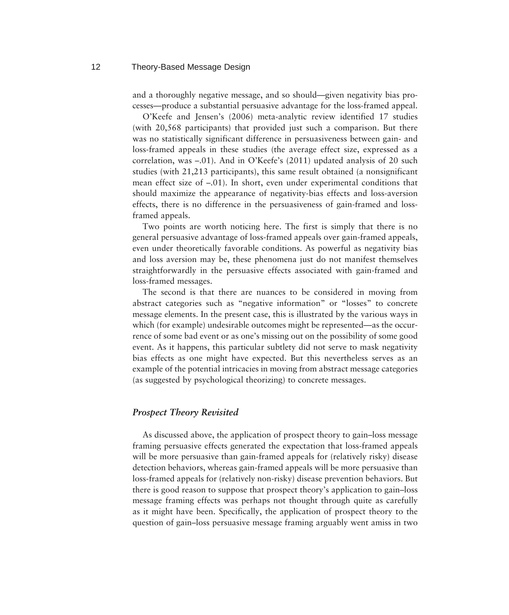and a thoroughly negative message, and so should—given negativity bias processes—produce a substantial persuasive advantage for the loss-framed appeal.

O'Keefe and Jensen's (2006) meta-analytic review identified 17 studies (with 20,568 participants) that provided just such a comparison. But there was no statistically significant difference in persuasiveness between gain- and loss-framed appeals in these studies (the average effect size, expressed as a correlation, was –.01). And in O'Keefe's (2011) updated analysis of 20 such studies (with 21,213 participants), this same result obtained (a nonsignificant mean effect size of  $-.01$ ). In short, even under experimental conditions that should maximize the appearance of negativity-bias effects and loss-aversion effects, there is no difference in the persuasiveness of gain-framed and lossframed appeals.

Two points are worth noticing here. The first is simply that there is no general persuasive advantage of loss-framed appeals over gain-framed appeals, even under theoretically favorable conditions. As powerful as negativity bias and loss aversion may be, these phenomena just do not manifest themselves straightforwardly in the persuasive effects associated with gain-framed and loss-framed messages.

The second is that there are nuances to be considered in moving from abstract categories such as "negative information" or "losses" to concrete message elements. In the present case, this is illustrated by the various ways in which (for example) undesirable outcomes might be represented—as the occurrence of some bad event or as one's missing out on the possibility of some good event. As it happens, this particular subtlety did not serve to mask negativity bias effects as one might have expected. But this nevertheless serves as an example of the potential intricacies in moving from abstract message categories (as suggested by psychological theorizing) to concrete messages.

#### *Prospect Theory Revisited*

As discussed above, the application of prospect theory to gain–loss message framing persuasive effects generated the expectation that loss-framed appeals will be more persuasive than gain-framed appeals for (relatively risky) disease detection behaviors, whereas gain-framed appeals will be more persuasive than loss-framed appeals for (relatively non-risky) disease prevention behaviors. But there is good reason to suppose that prospect theory's application to gain–loss message framing effects was perhaps not thought through quite as carefully as it might have been. Specifically, the application of prospect theory to the question of gain–loss persuasive message framing arguably went amiss in two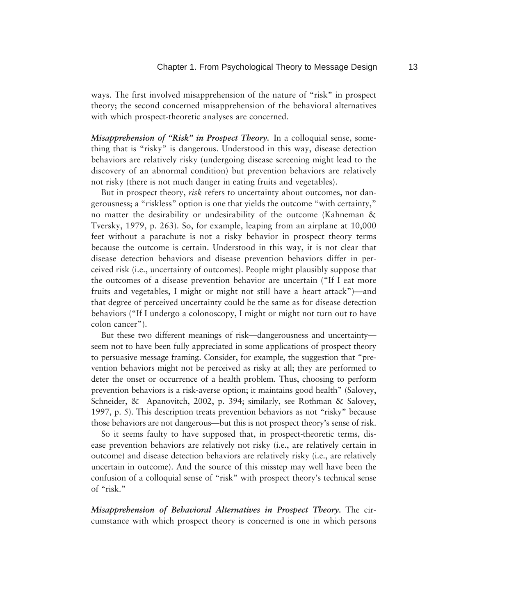ways. The first involved misapprehension of the nature of "risk" in prospect theory; the second concerned misapprehension of the behavioral alternatives with which prospect-theoretic analyses are concerned.

*Misapprehension of "Risk" in Prospect Theory.* In a colloquial sense, something that is "risky" is dangerous. Understood in this way, disease detection behaviors are relatively risky (undergoing disease screening might lead to the discovery of an abnormal condition) but prevention behaviors are relatively not risky (there is not much danger in eating fruits and vegetables).

But in prospect theory, *risk* refers to uncertainty about outcomes, not dangerousness; a "riskless" option is one that yields the outcome "with certainty," no matter the desirability or undesirability of the outcome (Kahneman & Tversky, 1979, p. 263). So, for example, leaping from an airplane at 10,000 feet without a parachute is not a risky behavior in prospect theory terms because the outcome is certain. Understood in this way, it is not clear that disease detection behaviors and disease prevention behaviors differ in perceived risk (i.e., uncertainty of outcomes). People might plausibly suppose that the outcomes of a disease prevention behavior are uncertain ("If I eat more fruits and vegetables, I might or might not still have a heart attack")—and that degree of perceived uncertainty could be the same as for disease detection behaviors ("If I undergo a colonoscopy, I might or might not turn out to have colon cancer").

But these two different meanings of risk—dangerousness and uncertainty seem not to have been fully appreciated in some applications of prospect theory to persuasive message framing. Consider, for example, the suggestion that "prevention behaviors might not be perceived as risky at all; they are performed to deter the onset or occurrence of a health problem. Thus, choosing to perform prevention behaviors is a risk-averse option; it maintains good health" (Salovey, Schneider, & Apanovitch, 2002, p. 394; similarly, see Rothman & Salovey, 1997, p. 5). This description treats prevention behaviors as not "risky" because those behaviors are not dangerous—but this is not prospect theory's sense of risk.

So it seems faulty to have supposed that, in prospect-theoretic terms, disease prevention behaviors are relatively not risky (i.e., are relatively certain in outcome) and disease detection behaviors are relatively risky (i.e., are relatively uncertain in outcome). And the source of this misstep may well have been the confusion of a colloquial sense of "risk" with prospect theory's technical sense of "risk."

*Misapprehension of Behavioral Alternatives in Prospect Theory.* The circumstance with which prospect theory is concerned is one in which persons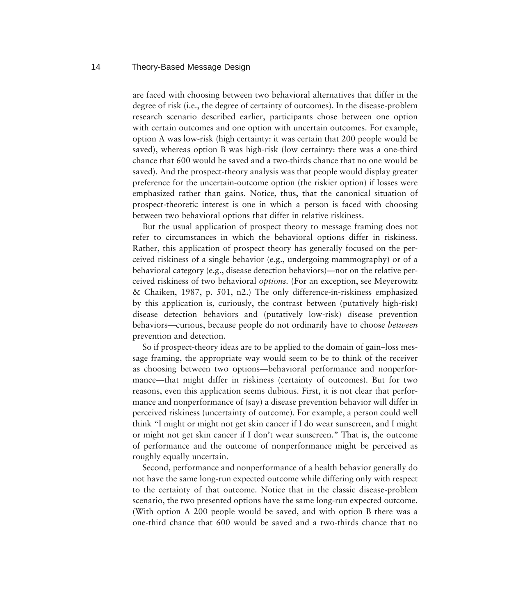are faced with choosing between two behavioral alternatives that differ in the degree of risk (i.e., the degree of certainty of outcomes). In the disease-problem research scenario described earlier, participants chose between one option with certain outcomes and one option with uncertain outcomes. For example, option A was low-risk (high certainty: it was certain that 200 people would be saved), whereas option B was high-risk (low certainty: there was a one-third chance that 600 would be saved and a two-thirds chance that no one would be saved). And the prospect-theory analysis was that people would display greater preference for the uncertain-outcome option (the riskier option) if losses were emphasized rather than gains. Notice, thus, that the canonical situation of prospect-theoretic interest is one in which a person is faced with choosing between two behavioral options that differ in relative riskiness.

But the usual application of prospect theory to message framing does not refer to circumstances in which the behavioral options differ in riskiness. Rather, this application of prospect theory has generally focused on the perceived riskiness of a single behavior (e.g., undergoing mammography) or of a behavioral category (e.g., disease detection behaviors)—not on the relative perceived riskiness of two behavioral *options.* (For an exception, see Meyerowitz & Chaiken, 1987, p. 501, n2.) The only difference-in-riskiness emphasized by this application is, curiously, the contrast between (putatively high-risk) disease detection behaviors and (putatively low-risk) disease prevention behaviors—curious, because people do not ordinarily have to choose *between* prevention and detection.

So if prospect-theory ideas are to be applied to the domain of gain–loss message framing, the appropriate way would seem to be to think of the receiver as choosing between two options—behavioral performance and nonperformance—that might differ in riskiness (certainty of outcomes). But for two reasons, even this application seems dubious. First, it is not clear that performance and nonperformance of (say) a disease prevention behavior will differ in perceived riskiness (uncertainty of outcome). For example, a person could well think "I might or might not get skin cancer if I do wear sunscreen, and I might or might not get skin cancer if I don't wear sunscreen." That is, the outcome of performance and the outcome of nonperformance might be perceived as roughly equally uncertain.

Second, performance and nonperformance of a health behavior generally do not have the same long-run expected outcome while differing only with respect to the certainty of that outcome. Notice that in the classic disease-problem scenario, the two presented options have the same long-run expected outcome. (With option A 200 people would be saved, and with option B there was a one-third chance that 600 would be saved and a two-thirds chance that no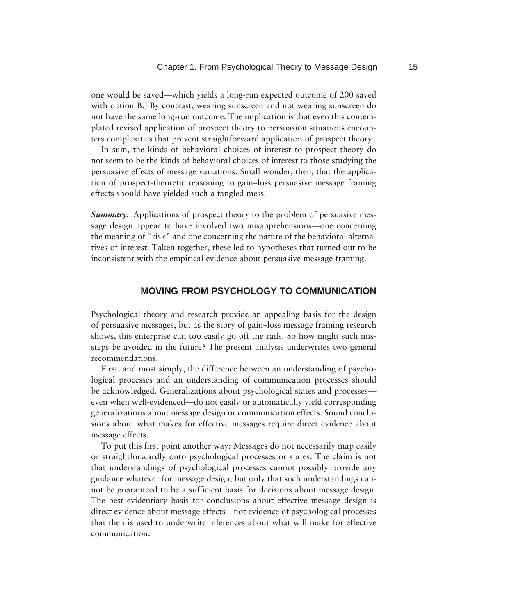one would be saved—which yields a long-run expected outcome of 200 saved with option B.) By contrast, wearing sunscreen and not wearing sunscreen do not have the same long-run outcome. The implication is that even this contemplated revised application of prospect theory to persuasion situations encounters complexities that prevent straightforward application of prospect theory.

In sum, the kinds of behavioral choices of interest to prospect theory do not seem to be the kinds of behavioral choices of interest to those studying the persuasive effects of message variations. Small wonder, then, that the application of prospect-theoretic reasoning to gain–loss persuasive message framing effects should have yielded such a tangled mess.

*Summary.* Applications of prospect theory to the problem of persuasive message design appear to have involved two misapprehensions—one concerning the meaning of "risk" and one concerning the nature of the behavioral alternatives of interest. Taken together, these led to hypotheses that turned out to be inconsistent with the empirical evidence about persuasive message framing.

### **MOVING FROM PSYCHOLOGY TO COMMUNICATION**

Psychological theory and research provide an appealing basis for the design of persuasive messages, but as the story of gain–loss message framing research shows, this enterprise can too easily go off the rails. So how might such missteps be avoided in the future? The present analysis underwrites two general recommendations.

First, and most simply, the difference between an understanding of psychological processes and an understanding of communication processes should be acknowledged. Generalizations about psychological states and processes even when well-evidenced—do not easily or automatically yield corresponding generalizations about message design or communication effects. Sound conclusions about what makes for effective messages require direct evidence about message effects.

To put this first point another way: Messages do not necessarily map easily or straightforwardly onto psychological processes or states. The claim is not that understandings of psychological processes cannot possibly provide any guidance whatever for message design, but only that such understandings cannot be guaranteed to be a sufficient basis for decisions about message design. The best evidentiary basis for conclusions about effective message design is direct evidence about message effects—not evidence of psychological processes that then is used to underwrite inferences about what will make for effective communication.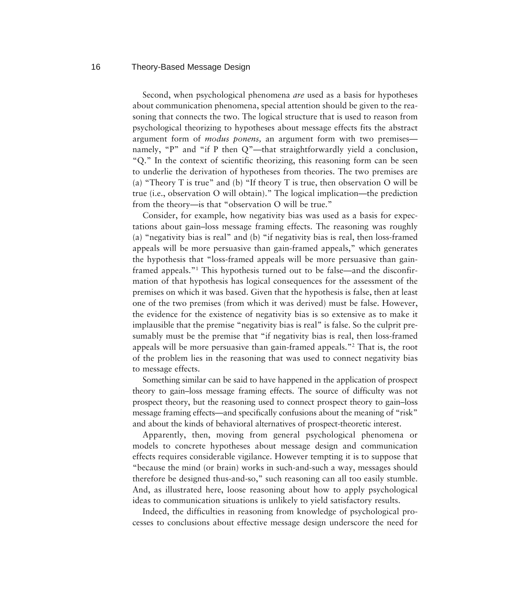Second, when psychological phenomena *are* used as a basis for hypotheses about communication phenomena, special attention should be given to the reasoning that connects the two. The logical structure that is used to reason from psychological theorizing to hypotheses about message effects fits the abstract argument form of *modus ponens,* an argument form with two premises namely, "P" and "if P then Q"—that straightforwardly yield a conclusion, "Q." In the context of scientific theorizing, this reasoning form can be seen to underlie the derivation of hypotheses from theories. The two premises are (a) "Theory T is true" and (b) "If theory T is true, then observation O will be true (i.e., observation O will obtain)." The logical implication—the prediction from the theory—is that "observation O will be true."

Consider, for example, how negativity bias was used as a basis for expectations about gain–loss message framing effects. The reasoning was roughly (a) "negativity bias is real" and (b) "if negativity bias is real, then loss-framed appeals will be more persuasive than gain-framed appeals," which generates the hypothesis that "loss-framed appeals will be more persuasive than gainframed appeals."1 This hypothesis turned out to be false—and the disconfirmation of that hypothesis has logical consequences for the assessment of the premises on which it was based. Given that the hypothesis is false, then at least one of the two premises (from which it was derived) must be false. However, the evidence for the existence of negativity bias is so extensive as to make it implausible that the premise "negativity bias is real" is false. So the culprit presumably must be the premise that "if negativity bias is real, then loss-framed appeals will be more persuasive than gain-framed appeals."2 That is, the root of the problem lies in the reasoning that was used to connect negativity bias to message effects.

Something similar can be said to have happened in the application of prospect theory to gain–loss message framing effects. The source of difficulty was not prospect theory, but the reasoning used to connect prospect theory to gain–loss message framing effects—and specifically confusions about the meaning of "risk" and about the kinds of behavioral alternatives of prospect-theoretic interest.

Apparently, then, moving from general psychological phenomena or models to concrete hypotheses about message design and communication effects requires considerable vigilance. However tempting it is to suppose that "because the mind (or brain) works in such-and-such a way, messages should therefore be designed thus-and-so," such reasoning can all too easily stumble. And, as illustrated here, loose reasoning about how to apply psychological ideas to communication situations is unlikely to yield satisfactory results.

Indeed, the difficulties in reasoning from knowledge of psychological processes to conclusions about effective message design underscore the need for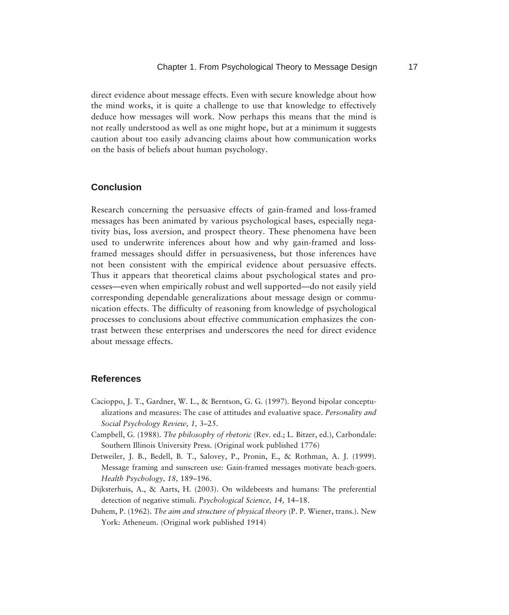direct evidence about message effects. Even with secure knowledge about how the mind works, it is quite a challenge to use that knowledge to effectively deduce how messages will work. Now perhaps this means that the mind is not really understood as well as one might hope, but at a minimum it suggests caution about too easily advancing claims about how communication works on the basis of beliefs about human psychology.

#### **Conclusion**

Research concerning the persuasive effects of gain-framed and loss-framed messages has been animated by various psychological bases, especially negativity bias, loss aversion, and prospect theory. These phenomena have been used to underwrite inferences about how and why gain-framed and lossframed messages should differ in persuasiveness, but those inferences have not been consistent with the empirical evidence about persuasive effects. Thus it appears that theoretical claims about psychological states and processes—even when empirically robust and well supported—do not easily yield corresponding dependable generalizations about message design or communication effects. The difficulty of reasoning from knowledge of psychological processes to conclusions about effective communication emphasizes the contrast between these enterprises and underscores the need for direct evidence about message effects.

#### **References**

- Cacioppo, J. T., Gardner, W. L., & Berntson, G. G. (1997). Beyond bipolar conceptualizations and measures: The case of attitudes and evaluative space. *Personality and Social Psychology Review, 1,* 3–25.
- Campbell, G. (1988). *The philosophy of rhetoric* (Rev. ed.; L. Bitzer, ed.), Carbondale: Southern Illinois University Press. (Original work published 1776)
- Detweiler, J. B., Bedell, B. T., Salovey, P., Pronin, E., & Rothman, A. J. (1999). Message framing and sunscreen use: Gain-framed messages motivate beach-goers. *Health Psychology, 18,* 189–196.
- Dijksterhuis, A., & Aarts, H. (2003). On wildebeests and humans: The preferential detection of negative stimuli. *Psychological Science, 14,* 14–18.
- Duhem, P. (1962). *The aim and structure of physical theory* (P. P. Wiener, trans.). New York: Atheneum. (Original work published 1914)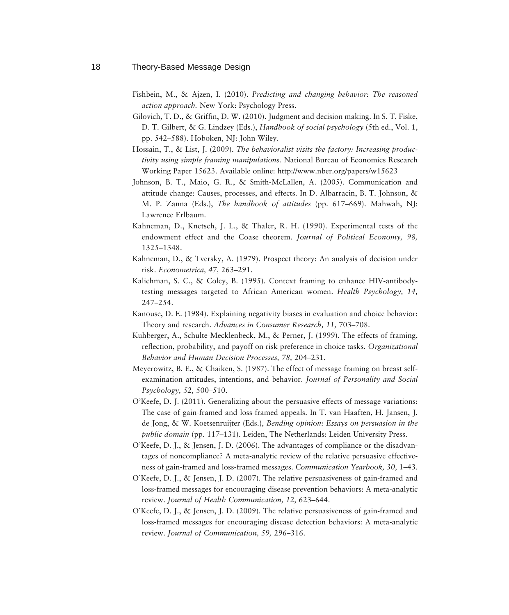- Fishbein, M., & Ajzen, I. (2010). *Predicting and changing behavior: The reasoned action approach.* New York: Psychology Press.
- Gilovich, T. D., & Griffin, D. W. (2010). Judgment and decision making. In S. T. Fiske, D. T. Gilbert, & G. Lindzey (Eds.), *Handbook of social psychology* (5th ed., Vol. 1, pp. 542–588). Hoboken, NJ: John Wiley.
- Hossain, T., & List, J. (2009). *The behavioralist visits the factory: Increasing productivity using simple framing manipulations.* National Bureau of Economics Research Working Paper 15623. Available online: http://www.nber.org/papers/w15623
- Johnson, B. T., Maio, G. R., & Smith-McLallen, A. (2005). Communication and attitude change: Causes, processes, and effects. In D. Albarracin, B. T. Johnson, & M. P. Zanna (Eds.), *The handbook of attitudes* (pp. 617–669). Mahwah, NJ: Lawrence Erlbaum.
- Kahneman, D., Knetsch, J. L., & Thaler, R. H. (1990). Experimental tests of the endowment effect and the Coase theorem. *Journal of Political Economy, 98,* 1325–1348.
- Kahneman, D., & Tversky, A. (1979). Prospect theory: An analysis of decision under risk. *Econometrica, 47,* 263–291.
- Kalichman, S. C., & Coley, B. (1995). Context framing to enhance HIV-antibodytesting messages targeted to African American women. *Health Psychology, 14,* 247–254.
- Kanouse, D. E. (1984). Explaining negativity biases in evaluation and choice behavior: Theory and research. *Advances in Consumer Research, 11,* 703–708.
- Kuhberger, A., Schulte-Mecklenbeck, M., & Perner, J. (1999). The effects of framing, reflection, probability, and payoff on risk preference in choice tasks. *Organizational Behavior and Human Decision Processes, 78,* 204–231.
- Meyerowitz, B. E., & Chaiken, S. (1987). The effect of message framing on breast selfexamination attitudes, intentions, and behavior. *Journal of Personality and Social Psychology, 52,* 500–510.
- O'Keefe, D. J. (2011). Generalizing about the persuasive effects of message variations: The case of gain-framed and loss-framed appeals. In T. van Haaften, H. Jansen, J. de Jong, & W. Koetsenruijter (Eds.), *Bending opinion: Essays on persuasion in the public domain* (pp. 117–131). Leiden, The Netherlands: Leiden University Press.
- O'Keefe, D. J., & Jensen, J. D. (2006). The advantages of compliance or the disadvantages of noncompliance? A meta-analytic review of the relative persuasive effectiveness of gain-framed and loss-framed messages. *Communication Yearbook, 30,* 1–43.
- O'Keefe, D. J., & Jensen, J. D. (2007). The relative persuasiveness of gain-framed and loss-framed messages for encouraging disease prevention behaviors: A meta-analytic review. *Journal of Health Communication, 12,* 623–644.
- O'Keefe, D. J., & Jensen, J. D. (2009). The relative persuasiveness of gain-framed and loss-framed messages for encouraging disease detection behaviors: A meta-analytic review. *Journal of Communication, 59,* 296–316.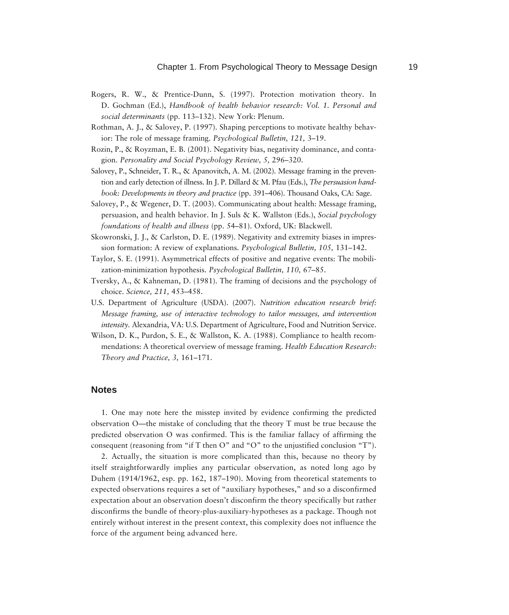- Rogers, R. W., & Prentice-Dunn, S. (1997). Protection motivation theory. In D. Gochman (Ed.), *Handbook of health behavior research: Vol. 1. Personal and social determinants* (pp. 113–132). New York: Plenum.
- Rothman, A. J., & Salovey, P. (1997). Shaping perceptions to motivate healthy behavior: The role of message framing. *Psychological Bulletin, 121,* 3–19.
- Rozin, P., & Royzman, E. B. (2001). Negativity bias, negativity dominance, and contagion. *Personality and Social Psychology Review, 5,* 296–320.
- Salovey, P., Schneider, T. R., & Apanovitch, A. M. (2002). Message framing in the prevention and early detection of illness. In J. P. Dillard & M. Pfau (Eds.), *The persuasion handbook: Developments in theory and practice* (pp. 391–406). Thousand Oaks, CA: Sage.
- Salovey, P., & Wegener, D. T. (2003). Communicating about health: Message framing, persuasion, and health behavior. In J. Suls & K. Wallston (Eds.), *Social psychology foundations of health and illness* (pp. 54–81). Oxford, UK: Blackwell.
- Skowronski, J. J., & Carlston, D. E. (1989). Negativity and extremity biases in impression formation: A review of explanations. *Psychological Bulletin, 105,* 131–142.
- Taylor, S. E. (1991). Asymmetrical effects of positive and negative events: The mobilization-minimization hypothesis. *Psychological Bulletin, 110,* 67–85.
- Tversky, A., & Kahneman, D. (1981). The framing of decisions and the psychology of choice. *Science, 211,* 453–458.
- U.S. Department of Agriculture (USDA). (2007). *Nutrition education research brief: Message framing, use of interactive technology to tailor messages, and intervention intensity.* Alexandria, VA: U.S. Department of Agriculture, Food and Nutrition Service.
- Wilson, D. K., Purdon, S. E., & Wallston, K. A. (1988). Compliance to health recommendations: A theoretical overview of message framing. *Health Education Research: Theory and Practice, 3,* 161–171.

#### **Notes**

1. One may note here the misstep invited by evidence confirming the predicted observation O—the mistake of concluding that the theory T must be true because the predicted observation O was confirmed. This is the familiar fallacy of affirming the consequent (reasoning from "if T then O" and "O" to the unjustified conclusion "T").

2. Actually, the situation is more complicated than this, because no theory by itself straightforwardly implies any particular observation, as noted long ago by Duhem (1914/1962, esp. pp. 162, 187–190). Moving from theoretical statements to expected observations requires a set of "auxiliary hypotheses," and so a disconfirmed expectation about an observation doesn't disconfirm the theory specifically but rather disconfirms the bundle of theory-plus-auxiliary-hypotheses as a package. Though not entirely without interest in the present context, this complexity does not influence the force of the argument being advanced here.